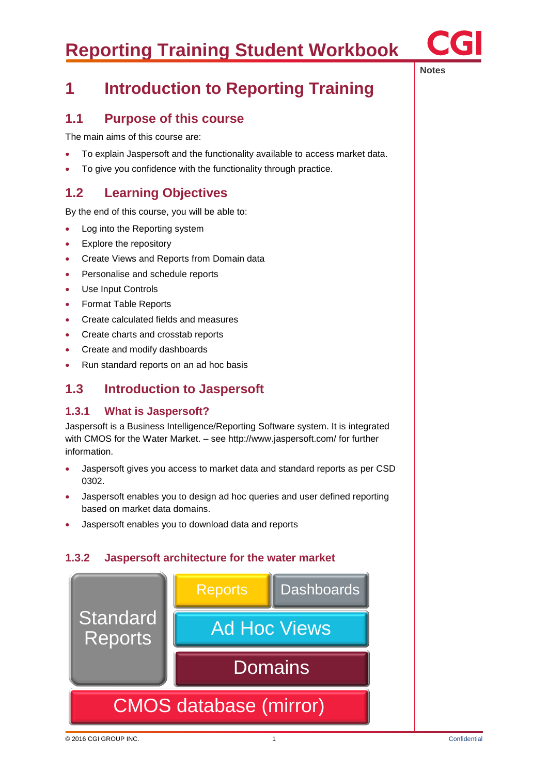

## **1 Introduction to Reporting Training**

### **1.1 Purpose of this course**

The main aims of this course are:

- To explain Jaspersoft and the functionality available to access market data.
- To give you confidence with the functionality through practice.

### **1.2 Learning Objectives**

By the end of this course, you will be able to:

- Log into the Reporting system
- Explore the repository
- Create Views and Reports from Domain data
- Personalise and schedule reports
- Use Input Controls
- Format Table Reports
- Create calculated fields and measures
- Create charts and crosstab reports
- Create and modify dashboards
- Run standard reports on an ad hoc basis

### **1.3 Introduction to Jaspersoft**

#### **1.3.1 What is Jaspersoft?**

Jaspersoft is a Business Intelligence/Reporting Software system. It is integrated with CMOS for the Water Market. – see http://www.jaspersoft.com/ for further information.

- Jaspersoft gives you access to market data and standard reports as per CSD 0302.
- Jaspersoft enables you to design ad hoc queries and user defined reporting based on market data domains.
- Jaspersoft enables you to download data and reports

#### **1.3.2 Jaspersoft architecture for the water market**



**Notes**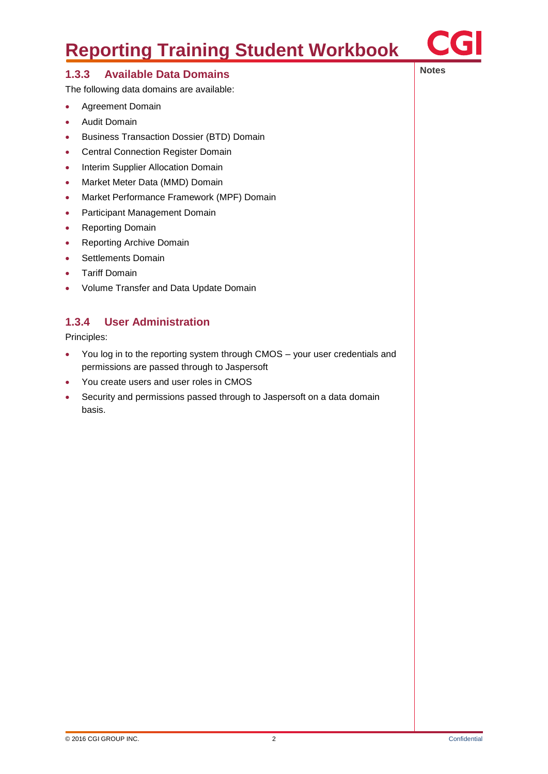

### **1.3.3 Available Data Domains 1.3.3 Available Data Domains**

The following data domains are available:

- Agreement Domain
- **•** Audit Domain
- **•** Business Transaction Dossier (BTD) Domain
- **•** Central Connection Register Domain
- Interim Supplier Allocation Domain
- Market Meter Data (MMD) Domain
- Market Performance Framework (MPF) Domain
- Participant Management Domain
- Reporting Domain
- Reporting Archive Domain
- Settlements Domain
- Tariff Domain
- Volume Transfer and Data Update Domain

### **1.3.4 User Administration**

Principles:

- You log in to the reporting system through CMOS your user credentials and permissions are passed through to Jaspersoft
- You create users and user roles in CMOS
- Security and permissions passed through to Jaspersoft on a data domain basis.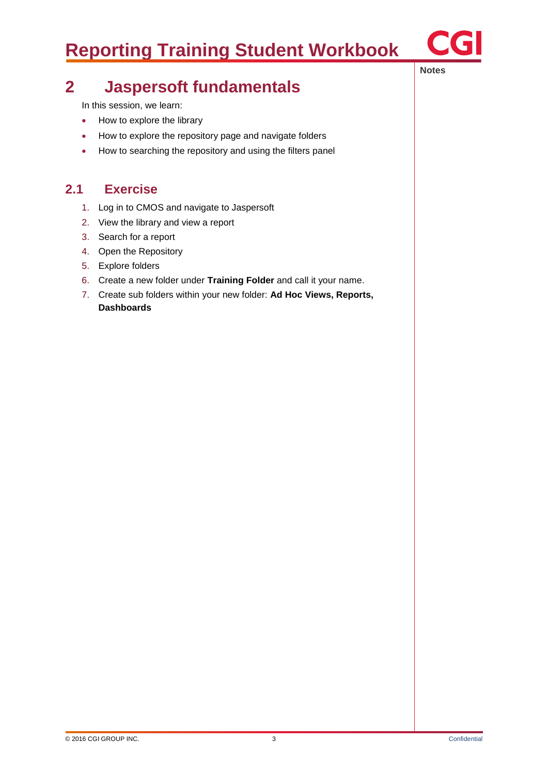

#### **Notes**

## **2 Jaspersoft fundamentals**

In this session, we learn:

- How to explore the library
- How to explore the repository page and navigate folders
- How to searching the repository and using the filters panel

### **2.1 Exercise**

- 1. Log in to CMOS and navigate to Jaspersoft
- 2. View the library and view a report
- 3. Search for a report
- 4. Open the Repository
- 5. Explore folders
- 6. Create a new folder under **Training Folder** and call it your name.
- 7. Create sub folders within your new folder: **Ad Hoc Views, Reports, Dashboards**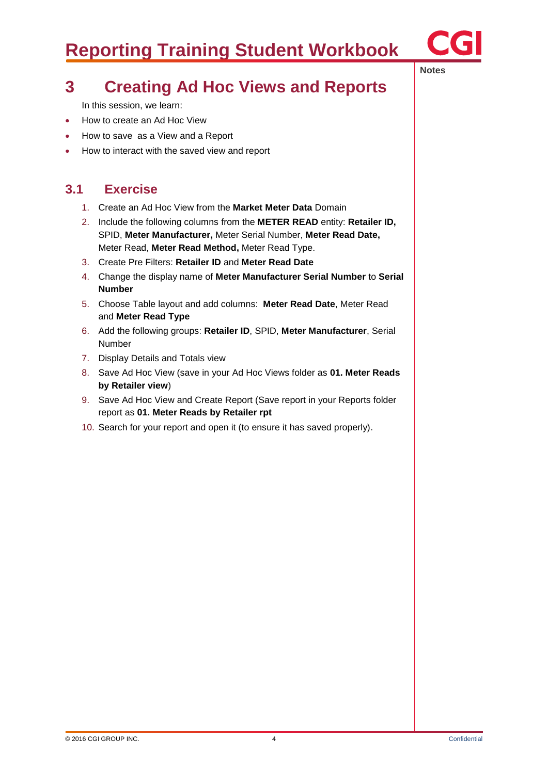

**Notes**

## **3 Creating Ad Hoc Views and Reports**

In this session, we learn:

- How to create an Ad Hoc View
- How to save as a View and a Report
- How to interact with the saved view and report

### **3.1 Exercise**

- 1. Create an Ad Hoc View from the **Market Meter Data** Domain
- 2. Include the following columns from the **METER READ** entity: **Retailer ID,**  SPID, **Meter Manufacturer,** Meter Serial Number, **Meter Read Date,**  Meter Read, **Meter Read Method,** Meter Read Type.
- 3. Create Pre Filters: **Retailer ID** and **Meter Read Date**
- 4. Change the display name of **Meter Manufacturer Serial Number** to **Serial Number**
- 5. Choose Table layout and add columns: **Meter Read Date**, Meter Read and **Meter Read Type**
- 6. Add the following groups: **Retailer ID**, SPID, **Meter Manufacturer**, Serial Number
- 7. Display Details and Totals view
- 8. Save Ad Hoc View (save in your Ad Hoc Views folder as **01. Meter Reads by Retailer view**)
- 9. Save Ad Hoc View and Create Report (Save report in your Reports folder report as **01. Meter Reads by Retailer rpt**
- 10. Search for your report and open it (to ensure it has saved properly).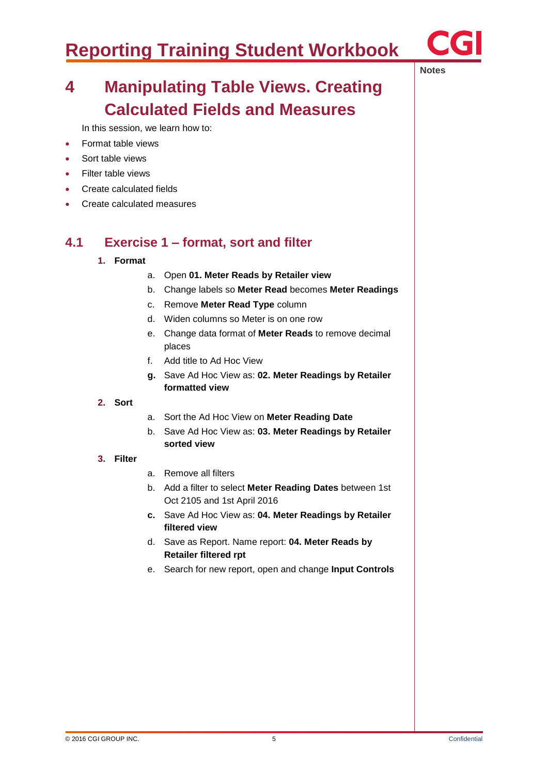

**Notes**

## **4 Manipulating Table Views. Creating Calculated Fields and Measures**

In this session, we learn how to:

- Format table views
- Sort table views
- Filter table views
- Create calculated fields
- Create calculated measures

### **4.1 Exercise 1 – format, sort and filter**

#### **1. Format**

- a. Open **01. Meter Reads by Retailer view**
- b. Change labels so **Meter Read** becomes **Meter Readings**
- c. Remove **Meter Read Type** column
- d. Widen columns so Meter is on one row
- e. Change data format of **Meter Reads** to remove decimal places
- f. Add title to Ad Hoc View
- **g.** Save Ad Hoc View as: **02. Meter Readings by Retailer formatted view**

#### **2. Sort**

- a. Sort the Ad Hoc View on **Meter Reading Date**
- b. Save Ad Hoc View as: **03. Meter Readings by Retailer sorted view**

#### **3. Filter**

- a. Remove all filters
- b. Add a filter to select **Meter Reading Dates** between 1st Oct 2105 and 1st April 2016
- **c.** Save Ad Hoc View as: **04. Meter Readings by Retailer filtered view**
- d. Save as Report. Name report: **04. Meter Reads by Retailer filtered rpt**
- e. Search for new report, open and change **Input Controls**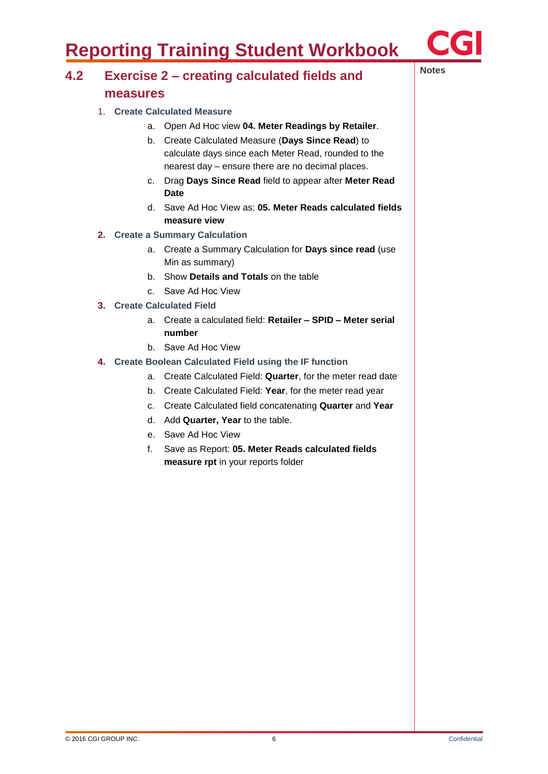

### **Notes 4.2 Exercise 2 – creating calculated fields and measures**

- 1. **Create Calculated Measure**
	- a. Open Ad Hoc view **04. Meter Readings by Retailer**.
	- b. Create Calculated Measure (**Days Since Read**) to calculate days since each Meter Read, rounded to the nearest day – ensure there are no decimal places.
	- c. Drag **Days Since Read** field to appear after **Meter Read Date**
	- d. Save Ad Hoc View as: **05. Meter Reads calculated fields measure view**
- **2. Create a Summary Calculation**
	- a. Create a Summary Calculation for **Days since read** (use Min as summary)
	- b. Show **Details and Totals** on the table
	- c. Save Ad Hoc View
- **3. Create Calculated Field**
	- a. Create a calculated field: **Retailer – SPID – Meter serial number**
	- b. Save Ad Hoc View
- **4. Create Boolean Calculated Field using the IF function**
	- a. Create Calculated Field: **Quarter**, for the meter read date
	- b. Create Calculated Field: **Year**, for the meter read year
	- c. Create Calculated field concatenating **Quarter** and **Year**
	- d. Add **Quarter, Year** to the table.
	- e. Save Ad Hoc View
	- f. Save as Report: **05. Meter Reads calculated fields measure rpt** in your reports folder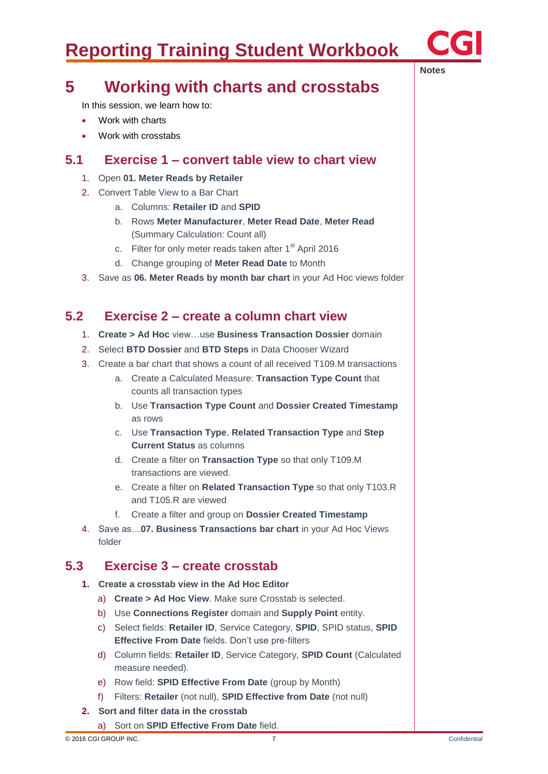

**Notes**

## **5 Working with charts and crosstabs**

In this session, we learn how to:

- Work with charts
- Work with crosstabs

### **5.1 Exercise 1 – convert table view to chart view**

- 1. Open **01. Meter Reads by Retailer**
- 2. Convert Table View to a Bar Chart
	- a. Columns: **Retailer ID** and **SPID**
	- b. Rows **Meter Manufacturer**, **Meter Read Date**, **Meter Read** (Summary Calculation: Count all)
	- c. Filter for only meter reads taken after  $1<sup>st</sup>$  April 2016
	- d. Change grouping of **Meter Read Date** to Month
- 3. Save as **06. Meter Reads by month bar chart** in your Ad Hoc views folder

### **5.2 Exercise 2 – create a column chart view**

- 1. **Create > Ad Hoc** view…use **Business Transaction Dossier** domain
- 2. Select **BTD Dossier** and **BTD Steps** in Data Chooser Wizard
- 3. Create a bar chart that shows a count of all received T109.M transactions
	- a. Create a Calculated Measure: **Transaction Type Count** that counts all transaction types
	- b. Use **Transaction Type Count** and **Dossier Created Timestamp** as rows
	- c. Use **Transaction Type**, **Related Transaction Type** and **Step Current Status** as columns
	- d. Create a filter on **Transaction Type** so that only T109.M transactions are viewed.
	- e. Create a filter on **Related Transaction Type** so that only T103.R and T105.R are viewed
	- f. Create a filter and group on **Dossier Created Timestamp**
- 4. Save as…**07. Business Transactions bar chart** in your Ad Hoc Views folder

### **5.3 Exercise 3 – create crosstab**

- **1. Create a crosstab view in the Ad Hoc Editor**
	- a) **Create > Ad Hoc View**. Make sure Crosstab is selected.
	- b) Use **Connections Register** domain and **Supply Point** entity.
	- c) Select fields: **Retailer ID**, Service Category, **SPID**, SPID status, **SPID Effective From Date** fields. Don't use pre-filters
	- d) Column fields: **Retailer ID**, Service Category, **SPID Count** (Calculated measure needed).
	- e) Row field: **SPID Effective From Date** (group by Month)
	- f) Filters: **Retailer** (not null), **SPID Effective from Date** (not null)
- **2. Sort and filter data in the crosstab**
	- a) Sort on **SPID Effective From Date** field.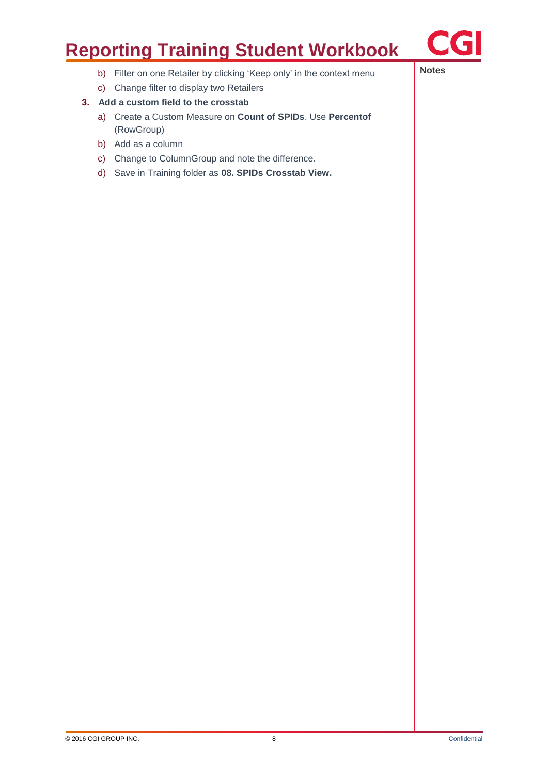

- **b)** Filter on one Retailer by clicking 'Keep only' in the context menu
- c) Change filter to display two Retailers
- **3. Add a custom field to the crosstab**
	- a) Create a Custom Measure on **Count of SPIDs**. Use **Percentof** (RowGroup)
	- b) Add as a column
	- c) Change to ColumnGroup and note the difference.
	- d) Save in Training folder as **08. SPIDs Crosstab View.**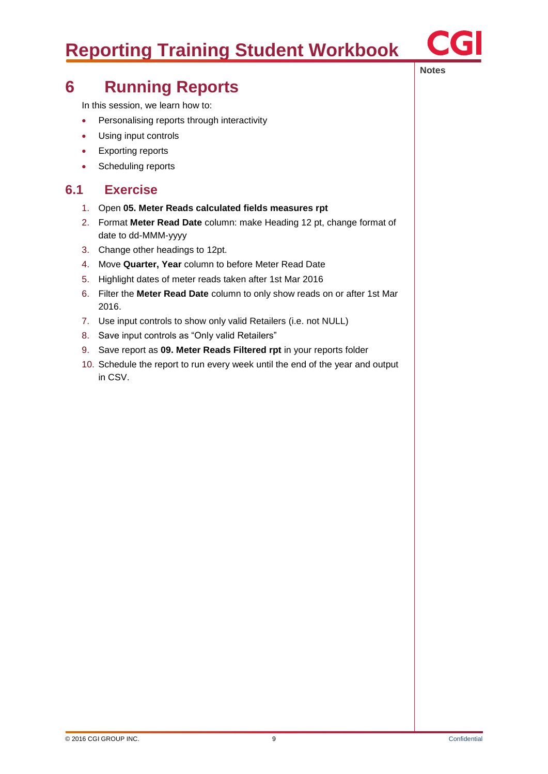

### **6 Running Reports**

In this session, we learn how to:

- Personalising reports through interactivity
- Using input controls
- Exporting reports
- Scheduling reports

### **6.1 Exercise**

- 1. Open **05. Meter Reads calculated fields measures rpt**
- 2. Format **Meter Read Date** column: make Heading 12 pt, change format of date to dd-MMM-yyyy
- 3. Change other headings to 12pt.
- 4. Move **Quarter, Year** column to before Meter Read Date
- 5. Highlight dates of meter reads taken after 1st Mar 2016
- 6. Filter the **Meter Read Date** column to only show reads on or after 1st Mar 2016.
- 7. Use input controls to show only valid Retailers (i.e. not NULL)
- 8. Save input controls as "Only valid Retailers"
- 9. Save report as **09. Meter Reads Filtered rpt** in your reports folder
- 10. Schedule the report to run every week until the end of the year and output in CSV.

**Notes**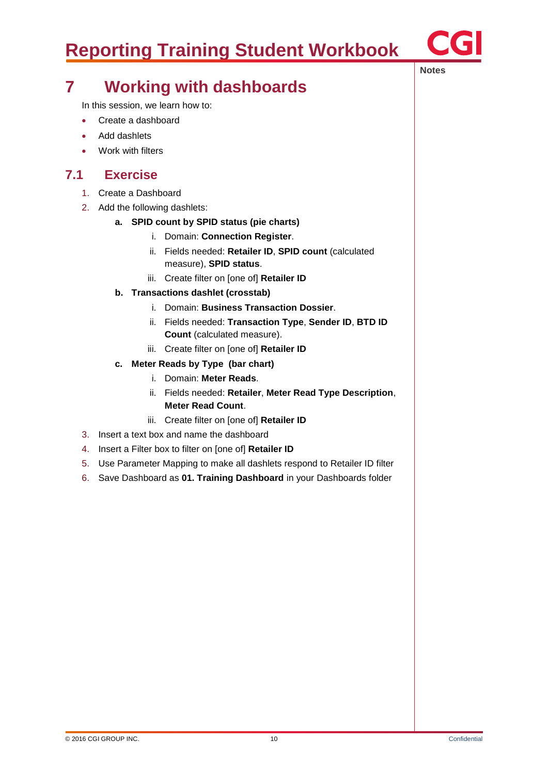

**Notes**

## **7 Working with dashboards**

In this session, we learn how to:

- Create a dashboard
- Add dashlets
- Work with filters

### **7.1 Exercise**

- 1. Create a Dashboard
- 2. Add the following dashlets:

#### **a. SPID count by SPID status (pie charts)**

- i. Domain: **Connection Register**.
- ii. Fields needed: **Retailer ID**, **SPID count** (calculated measure), **SPID status**.
- iii. Create filter on [one of] **Retailer ID**
- **b. Transactions dashlet (crosstab)**
	- i. Domain: **Business Transaction Dossier**.
	- ii. Fields needed: **Transaction Type**, **Sender ID**, **BTD ID Count** (calculated measure).
	- iii. Create filter on [one of] **Retailer ID**
- **c. Meter Reads by Type (bar chart)**
	- i. Domain: **Meter Reads**.
	- ii. Fields needed: **Retailer**, **Meter Read Type Description**, **Meter Read Count**.
	- iii. Create filter on [one of] **Retailer ID**
- 3. Insert a text box and name the dashboard
- 4. Insert a Filter box to filter on [one of] **Retailer ID**
- 5. Use Parameter Mapping to make all dashlets respond to Retailer ID filter
- 6. Save Dashboard as **01. Training Dashboard** in your Dashboards folder